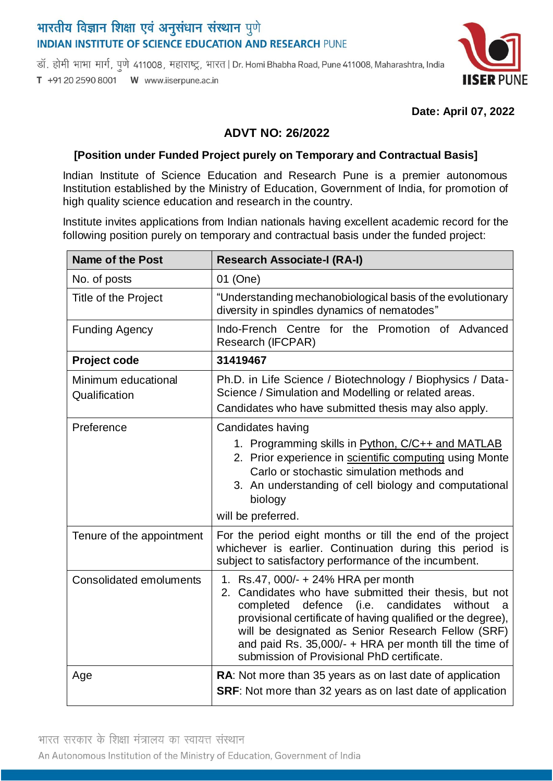# भारतीय विज्ञान शिक्षा एवं अनुसंधान संस्थान पुणे **INDIAN INSTITUTE OF SCIENCE EDUCATION AND RESEARCH PUNE**

डॉ. होमी भाभा मार्ग, पूणे 411008, महाराष्ट्र, भारत | Dr. Homi Bhabha Road, Pune 411008, Maharashtra, India T +91 20 2590 8001 W www.iiserpune.ac.in



#### **Date: April 07, 2022**

## **ADVT NO: 26/2022**

### **[Position under Funded Project purely on Temporary and Contractual Basis]**

Indian Institute of Science Education and Research Pune is a premier autonomous Institution established by the Ministry of Education, Government of India, for promotion of high quality science education and research in the country.

Institute invites applications from Indian nationals having excellent academic record for the following position purely on temporary and contractual basis under the funded project:

| <b>Name of the Post</b>              | <b>Research Associate-I (RA-I)</b>                                                                                                                                                                                                                                                                                                                                                        |
|--------------------------------------|-------------------------------------------------------------------------------------------------------------------------------------------------------------------------------------------------------------------------------------------------------------------------------------------------------------------------------------------------------------------------------------------|
| No. of posts                         | 01 (One)                                                                                                                                                                                                                                                                                                                                                                                  |
| Title of the Project                 | "Understanding mechanobiological basis of the evolutionary<br>diversity in spindles dynamics of nematodes"                                                                                                                                                                                                                                                                                |
| <b>Funding Agency</b>                | Indo-French Centre for the Promotion of Advanced<br>Research (IFCPAR)                                                                                                                                                                                                                                                                                                                     |
| Project code                         | 31419467                                                                                                                                                                                                                                                                                                                                                                                  |
| Minimum educational<br>Qualification | Ph.D. in Life Science / Biotechnology / Biophysics / Data-<br>Science / Simulation and Modelling or related areas.<br>Candidates who have submitted thesis may also apply.                                                                                                                                                                                                                |
| Preference                           | Candidates having<br>1. Programming skills in Python, C/C++ and MATLAB<br>2. Prior experience in scientific computing using Monte<br>Carlo or stochastic simulation methods and<br>3. An understanding of cell biology and computational<br>biology<br>will be preferred.                                                                                                                 |
| Tenure of the appointment            | For the period eight months or till the end of the project<br>whichever is earlier. Continuation during this period is<br>subject to satisfactory performance of the incumbent.                                                                                                                                                                                                           |
| <b>Consolidated emoluments</b>       | 1. Rs.47, 000/- + 24% HRA per month<br>2. Candidates who have submitted their thesis, but not<br>defence<br>candidates<br>completed<br>(i.e.<br>without<br>a<br>provisional certificate of having qualified or the degree),<br>will be designated as Senior Research Fellow (SRF)<br>and paid Rs. 35,000/- + HRA per month till the time of<br>submission of Provisional PhD certificate. |
| Age                                  | RA: Not more than 35 years as on last date of application<br><b>SRF:</b> Not more than 32 years as on last date of application                                                                                                                                                                                                                                                            |